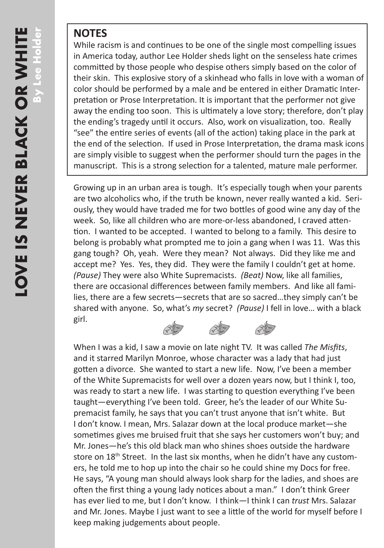## **NOTES**

While racism is and continues to be one of the single most compelling issues in America today, author Lee Holder sheds light on the senseless hate crimes committed by those people who despise others simply based on the color of their skin. This explosive story of a skinhead who falls in love with a woman of color should be performed by a male and be entered in either Dramatic Interpretation or Prose Interpretation. It is important that the performer not give away the ending too soon. This is ultimately a love story; therefore, don't play the ending's tragedy until it occurs. Also, work on visualization, too. Really "see" the entire series of events (all of the action) taking place in the park at the end of the selection. If used in Prose Interpretation, the drama mask icons are simply visible to suggest when the performer should turn the pages in the manuscript. This is a strong selection for a talented, mature male performer.

Growing up in an urban area is tough. It's especially tough when your parents are two alcoholics who, if the truth be known, never really wanted a kid. Seriously, they would have traded me for two bottles of good wine any day of the week. So, like all children who are more-or-less abandoned, I craved attention. I wanted to be accepted. I wanted to belong to a family. This desire to belong is probably what prompted me to join a gang when I was 11. Was this gang tough? Oh, yeah. Were they mean? Not always. Did they like me and accept me? Yes. Yes, they did. They were the family I couldn't get at home. *(Pause)* They were also White Supremacists. *(Beat)* Now, like all families, there are occasional differences between family members. And like all families, there are a few secrets—secrets that are so sacred…they simply can't be shared with anyone. So, what's *my* secret? *(Pause)* I fell in love… with a black girl.

*\*\*\** When I was a kid, I saw a movie on late night TV. It was called *The Misfits*, and it starred Marilyn Monroe, whose character was a lady that had just gotten a divorce. She wanted to start a new life. Now, I've been a member of the White Supremacists for well over a dozen years now, but I think I, too, was ready to start a new life. I was starting to question everything I've been taught—everything I've been told. Greer, he's the leader of our White Supremacist family, he says that you can't trust anyone that isn't white. But I don't know. I mean, Mrs. Salazar down at the local produce market—she sometimes gives me bruised fruit that she says her customers won't buy; and Mr. Jones—he's this old black man who shines shoes outside the hardware store on 18<sup>th</sup> Street. In the last six months, when he didn't have any customers, he told me to hop up into the chair so he could shine my Docs for free. He says, "A young man should always look sharp for the ladies, and shoes are often the first thing a young lady notices about a man." I don't think Greer has ever lied to me, but I don't know. I think—I think I can *trust* Mrs. Salazar and Mr. Jones. Maybe I just want to see a little of the world for myself before I keep making judgements about people.